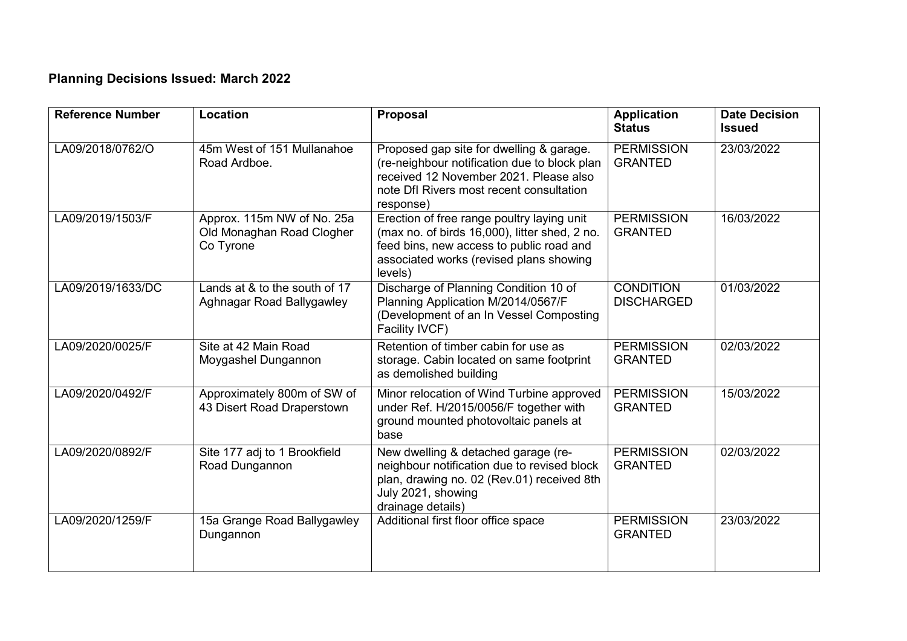## **Planning Decisions Issued: March 2022**

| <b>Reference Number</b> | Location                                                             | Proposal                                                                                                                                                                                      | <b>Application</b><br><b>Status</b>   | <b>Date Decision</b><br><b>Issued</b> |
|-------------------------|----------------------------------------------------------------------|-----------------------------------------------------------------------------------------------------------------------------------------------------------------------------------------------|---------------------------------------|---------------------------------------|
| LA09/2018/0762/O        | 45m West of 151 Mullanahoe<br>Road Ardboe.                           | Proposed gap site for dwelling & garage.<br>(re-neighbour notification due to block plan<br>received 12 November 2021. Please also<br>note DfI Rivers most recent consultation<br>response)   | <b>PERMISSION</b><br><b>GRANTED</b>   | 23/03/2022                            |
| LA09/2019/1503/F        | Approx. 115m NW of No. 25a<br>Old Monaghan Road Clogher<br>Co Tyrone | Erection of free range poultry laying unit<br>(max no. of birds 16,000), litter shed, 2 no.<br>feed bins, new access to public road and<br>associated works (revised plans showing<br>levels) | <b>PERMISSION</b><br><b>GRANTED</b>   | 16/03/2022                            |
| LA09/2019/1633/DC       | Lands at & to the south of 17<br>Aghnagar Road Ballygawley           | Discharge of Planning Condition 10 of<br>Planning Application M/2014/0567/F<br>(Development of an In Vessel Composting<br>Facility IVCF)                                                      | <b>CONDITION</b><br><b>DISCHARGED</b> | 01/03/2022                            |
| LA09/2020/0025/F        | Site at 42 Main Road<br>Moygashel Dungannon                          | Retention of timber cabin for use as<br>storage. Cabin located on same footprint<br>as demolished building                                                                                    | <b>PERMISSION</b><br><b>GRANTED</b>   | 02/03/2022                            |
| LA09/2020/0492/F        | Approximately 800m of SW of<br>43 Disert Road Draperstown            | Minor relocation of Wind Turbine approved<br>under Ref. H/2015/0056/F together with<br>ground mounted photovoltaic panels at<br>base                                                          | <b>PERMISSION</b><br><b>GRANTED</b>   | 15/03/2022                            |
| LA09/2020/0892/F        | Site 177 adj to 1 Brookfield<br>Road Dungannon                       | New dwelling & detached garage (re-<br>neighbour notification due to revised block<br>plan, drawing no. 02 (Rev.01) received 8th<br>July 2021, showing<br>drainage details)                   | <b>PERMISSION</b><br><b>GRANTED</b>   | 02/03/2022                            |
| LA09/2020/1259/F        | 15a Grange Road Ballygawley<br>Dungannon                             | Additional first floor office space                                                                                                                                                           | <b>PERMISSION</b><br><b>GRANTED</b>   | 23/03/2022                            |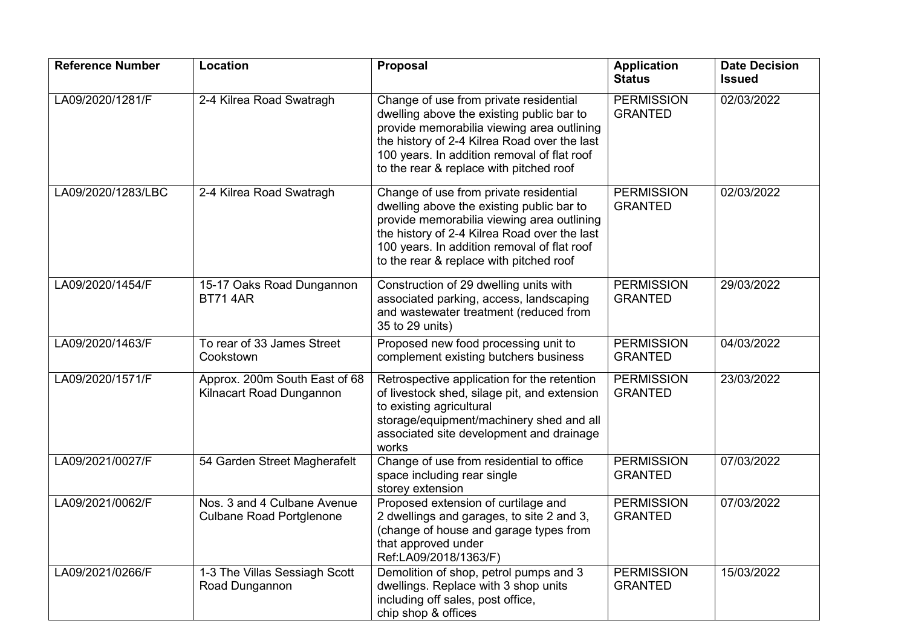| <b>Reference Number</b> | Location                                                       | <b>Proposal</b>                                                                                                                                                                                                                                                             | <b>Application</b><br><b>Status</b> | <b>Date Decision</b><br><b>Issued</b> |
|-------------------------|----------------------------------------------------------------|-----------------------------------------------------------------------------------------------------------------------------------------------------------------------------------------------------------------------------------------------------------------------------|-------------------------------------|---------------------------------------|
| LA09/2020/1281/F        | 2-4 Kilrea Road Swatragh                                       | Change of use from private residential<br>dwelling above the existing public bar to<br>provide memorabilia viewing area outlining<br>the history of 2-4 Kilrea Road over the last<br>100 years. In addition removal of flat roof<br>to the rear & replace with pitched roof | <b>PERMISSION</b><br><b>GRANTED</b> | 02/03/2022                            |
| LA09/2020/1283/LBC      | 2-4 Kilrea Road Swatragh                                       | Change of use from private residential<br>dwelling above the existing public bar to<br>provide memorabilia viewing area outlining<br>the history of 2-4 Kilrea Road over the last<br>100 years. In addition removal of flat roof<br>to the rear & replace with pitched roof | <b>PERMISSION</b><br><b>GRANTED</b> | 02/03/2022                            |
| LA09/2020/1454/F        | 15-17 Oaks Road Dungannon<br><b>BT71 4AR</b>                   | Construction of 29 dwelling units with<br>associated parking, access, landscaping<br>and wastewater treatment (reduced from<br>35 to 29 units)                                                                                                                              | <b>PERMISSION</b><br><b>GRANTED</b> | 29/03/2022                            |
| LA09/2020/1463/F        | To rear of 33 James Street<br>Cookstown                        | Proposed new food processing unit to<br>complement existing butchers business                                                                                                                                                                                               | <b>PERMISSION</b><br><b>GRANTED</b> | 04/03/2022                            |
| LA09/2020/1571/F        | Approx. 200m South East of 68<br>Kilnacart Road Dungannon      | Retrospective application for the retention<br>of livestock shed, silage pit, and extension<br>to existing agricultural<br>storage/equipment/machinery shed and all<br>associated site development and drainage<br>works                                                    | <b>PERMISSION</b><br><b>GRANTED</b> | 23/03/2022                            |
| LA09/2021/0027/F        | 54 Garden Street Magherafelt                                   | Change of use from residential to office<br>space including rear single<br>storey extension                                                                                                                                                                                 | <b>PERMISSION</b><br><b>GRANTED</b> | 07/03/2022                            |
| LA09/2021/0062/F        | Nos. 3 and 4 Culbane Avenue<br><b>Culbane Road Portglenone</b> | Proposed extension of curtilage and<br>2 dwellings and garages, to site 2 and 3,<br>(change of house and garage types from<br>that approved under<br>Ref:LA09/2018/1363/F)                                                                                                  | <b>PERMISSION</b><br><b>GRANTED</b> | 07/03/2022                            |
| LA09/2021/0266/F        | 1-3 The Villas Sessiagh Scott<br>Road Dungannon                | Demolition of shop, petrol pumps and 3<br>dwellings. Replace with 3 shop units<br>including off sales, post office,<br>chip shop & offices                                                                                                                                  | <b>PERMISSION</b><br><b>GRANTED</b> | 15/03/2022                            |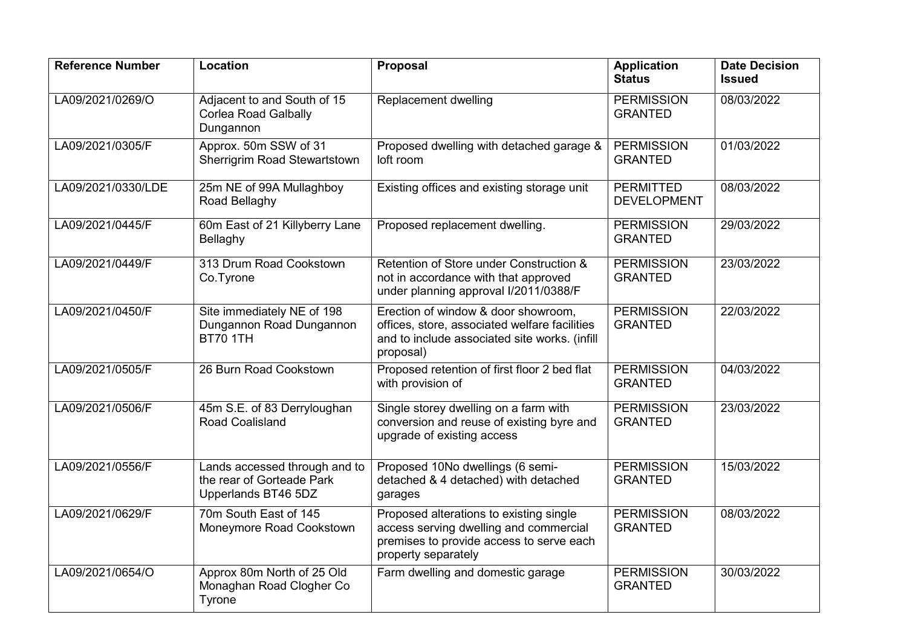| <b>Reference Number</b> | Location                                                                          | <b>Proposal</b>                                                                                                                                      | <b>Application</b><br><b>Status</b>    | <b>Date Decision</b><br><b>Issued</b> |
|-------------------------|-----------------------------------------------------------------------------------|------------------------------------------------------------------------------------------------------------------------------------------------------|----------------------------------------|---------------------------------------|
| LA09/2021/0269/O        | Adjacent to and South of 15<br><b>Corlea Road Galbally</b><br>Dungannon           | Replacement dwelling                                                                                                                                 | <b>PERMISSION</b><br><b>GRANTED</b>    | 08/03/2022                            |
| LA09/2021/0305/F        | Approx. 50m SSW of 31<br>Sherrigrim Road Stewartstown                             | Proposed dwelling with detached garage &<br>loft room                                                                                                | <b>PERMISSION</b><br><b>GRANTED</b>    | 01/03/2022                            |
| LA09/2021/0330/LDE      | 25m NE of 99A Mullaghboy<br>Road Bellaghy                                         | Existing offices and existing storage unit                                                                                                           | <b>PERMITTED</b><br><b>DEVELOPMENT</b> | 08/03/2022                            |
| LA09/2021/0445/F        | 60m East of 21 Killyberry Lane<br>Bellaghy                                        | Proposed replacement dwelling.                                                                                                                       | <b>PERMISSION</b><br><b>GRANTED</b>    | 29/03/2022                            |
| LA09/2021/0449/F        | 313 Drum Road Cookstown<br>Co.Tyrone                                              | Retention of Store under Construction &<br>not in accordance with that approved<br>under planning approval I/2011/0388/F                             | <b>PERMISSION</b><br><b>GRANTED</b>    | 23/03/2022                            |
| LA09/2021/0450/F        | Site immediately NE of 198<br>Dungannon Road Dungannon<br><b>BT70 1TH</b>         | Erection of window & door showroom,<br>offices, store, associated welfare facilities<br>and to include associated site works. (infill<br>proposal)   | <b>PERMISSION</b><br><b>GRANTED</b>    | 22/03/2022                            |
| LA09/2021/0505/F        | 26 Burn Road Cookstown                                                            | Proposed retention of first floor 2 bed flat<br>with provision of                                                                                    | <b>PERMISSION</b><br><b>GRANTED</b>    | 04/03/2022                            |
| LA09/2021/0506/F        | 45m S.E. of 83 Derryloughan<br>Road Coalisland                                    | Single storey dwelling on a farm with<br>conversion and reuse of existing byre and<br>upgrade of existing access                                     | <b>PERMISSION</b><br><b>GRANTED</b>    | 23/03/2022                            |
| LA09/2021/0556/F        | Lands accessed through and to<br>the rear of Gorteade Park<br>Upperlands BT46 5DZ | Proposed 10No dwellings (6 semi-<br>detached & 4 detached) with detached<br>garages                                                                  | <b>PERMISSION</b><br><b>GRANTED</b>    | 15/03/2022                            |
| LA09/2021/0629/F        | 70m South East of 145<br>Moneymore Road Cookstown                                 | Proposed alterations to existing single<br>access serving dwelling and commercial<br>premises to provide access to serve each<br>property separately | <b>PERMISSION</b><br><b>GRANTED</b>    | 08/03/2022                            |
| LA09/2021/0654/O        | Approx 80m North of 25 Old<br>Monaghan Road Clogher Co<br>Tyrone                  | Farm dwelling and domestic garage                                                                                                                    | <b>PERMISSION</b><br><b>GRANTED</b>    | 30/03/2022                            |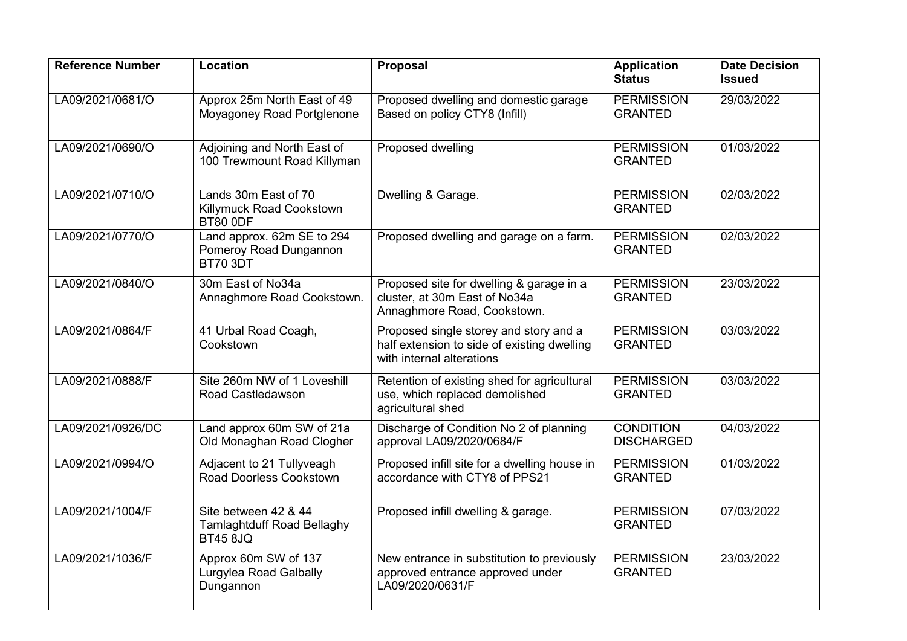| <b>Reference Number</b> | Location                                                                     | <b>Proposal</b>                                                                                                    | <b>Application</b><br><b>Status</b>   | <b>Date Decision</b><br><b>Issued</b> |
|-------------------------|------------------------------------------------------------------------------|--------------------------------------------------------------------------------------------------------------------|---------------------------------------|---------------------------------------|
| LA09/2021/0681/O        | Approx 25m North East of 49<br>Moyagoney Road Portglenone                    | Proposed dwelling and domestic garage<br>Based on policy CTY8 (Infill)                                             | <b>PERMISSION</b><br><b>GRANTED</b>   | 29/03/2022                            |
| LA09/2021/0690/O        | Adjoining and North East of<br>100 Trewmount Road Killyman                   | Proposed dwelling                                                                                                  | <b>PERMISSION</b><br><b>GRANTED</b>   | 01/03/2022                            |
| LA09/2021/0710/O        | Lands 30m East of 70<br>Killymuck Road Cookstown<br><b>BT80 0DF</b>          | Dwelling & Garage.                                                                                                 | <b>PERMISSION</b><br><b>GRANTED</b>   | 02/03/2022                            |
| LA09/2021/0770/O        | Land approx. 62m SE to 294<br>Pomeroy Road Dungannon<br><b>BT70 3DT</b>      | Proposed dwelling and garage on a farm.                                                                            | <b>PERMISSION</b><br><b>GRANTED</b>   | 02/03/2022                            |
| LA09/2021/0840/O        | 30m East of No34a<br>Annaghmore Road Cookstown.                              | Proposed site for dwelling & garage in a<br>cluster, at 30m East of No34a<br>Annaghmore Road, Cookstown.           | <b>PERMISSION</b><br><b>GRANTED</b>   | 23/03/2022                            |
| LA09/2021/0864/F        | 41 Urbal Road Coagh,<br>Cookstown                                            | Proposed single storey and story and a<br>half extension to side of existing dwelling<br>with internal alterations | <b>PERMISSION</b><br><b>GRANTED</b>   | 03/03/2022                            |
| LA09/2021/0888/F        | Site 260m NW of 1 Loveshill<br>Road Castledawson                             | Retention of existing shed for agricultural<br>use, which replaced demolished<br>agricultural shed                 | <b>PERMISSION</b><br><b>GRANTED</b>   | 03/03/2022                            |
| LA09/2021/0926/DC       | Land approx 60m SW of 21a<br>Old Monaghan Road Clogher                       | Discharge of Condition No 2 of planning<br>approval LA09/2020/0684/F                                               | <b>CONDITION</b><br><b>DISCHARGED</b> | 04/03/2022                            |
| LA09/2021/0994/O        | Adjacent to 21 Tullyveagh<br><b>Road Doorless Cookstown</b>                  | Proposed infill site for a dwelling house in<br>accordance with CTY8 of PPS21                                      | <b>PERMISSION</b><br><b>GRANTED</b>   | 01/03/2022                            |
| LA09/2021/1004/F        | Site between 42 & 44<br><b>Tamlaghtduff Road Bellaghy</b><br><b>BT45 8JQ</b> | Proposed infill dwelling & garage.                                                                                 | <b>PERMISSION</b><br><b>GRANTED</b>   | 07/03/2022                            |
| LA09/2021/1036/F        | Approx 60m SW of 137<br>Lurgylea Road Galbally<br>Dungannon                  | New entrance in substitution to previously<br>approved entrance approved under<br>LA09/2020/0631/F                 | <b>PERMISSION</b><br><b>GRANTED</b>   | 23/03/2022                            |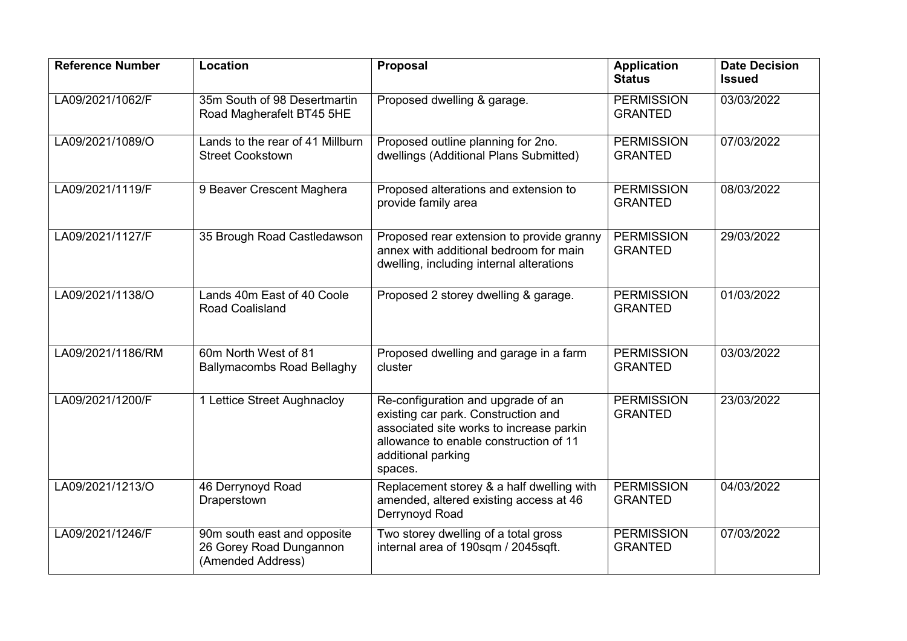| <b>Reference Number</b> | Location                                                                    | Proposal                                                                                                                                                                                         | <b>Application</b><br><b>Status</b> | <b>Date Decision</b><br><b>Issued</b> |
|-------------------------|-----------------------------------------------------------------------------|--------------------------------------------------------------------------------------------------------------------------------------------------------------------------------------------------|-------------------------------------|---------------------------------------|
| LA09/2021/1062/F        | 35m South of 98 Desertmartin<br>Road Magherafelt BT45 5HE                   | Proposed dwelling & garage.                                                                                                                                                                      | <b>PERMISSION</b><br><b>GRANTED</b> | 03/03/2022                            |
| LA09/2021/1089/O        | Lands to the rear of 41 Millburn<br><b>Street Cookstown</b>                 | Proposed outline planning for 2no.<br>dwellings (Additional Plans Submitted)                                                                                                                     | <b>PERMISSION</b><br><b>GRANTED</b> | 07/03/2022                            |
| LA09/2021/1119/F        | 9 Beaver Crescent Maghera                                                   | Proposed alterations and extension to<br>provide family area                                                                                                                                     | <b>PERMISSION</b><br><b>GRANTED</b> | 08/03/2022                            |
| LA09/2021/1127/F        | 35 Brough Road Castledawson                                                 | Proposed rear extension to provide granny<br>annex with additional bedroom for main<br>dwelling, including internal alterations                                                                  | <b>PERMISSION</b><br><b>GRANTED</b> | 29/03/2022                            |
| LA09/2021/1138/O        | Lands 40m East of 40 Coole<br>Road Coalisland                               | Proposed 2 storey dwelling & garage.                                                                                                                                                             | <b>PERMISSION</b><br><b>GRANTED</b> | 01/03/2022                            |
| LA09/2021/1186/RM       | 60m North West of 81<br><b>Ballymacombs Road Bellaghy</b>                   | Proposed dwelling and garage in a farm<br>cluster                                                                                                                                                | <b>PERMISSION</b><br><b>GRANTED</b> | 03/03/2022                            |
| LA09/2021/1200/F        | 1 Lettice Street Aughnacloy                                                 | Re-configuration and upgrade of an<br>existing car park. Construction and<br>associated site works to increase parkin<br>allowance to enable construction of 11<br>additional parking<br>spaces. | <b>PERMISSION</b><br><b>GRANTED</b> | 23/03/2022                            |
| LA09/2021/1213/O        | 46 Derrynoyd Road<br>Draperstown                                            | Replacement storey & a half dwelling with<br>amended, altered existing access at 46<br>Derrynoyd Road                                                                                            | <b>PERMISSION</b><br><b>GRANTED</b> | 04/03/2022                            |
| LA09/2021/1246/F        | 90m south east and opposite<br>26 Gorey Road Dungannon<br>(Amended Address) | Two storey dwelling of a total gross<br>internal area of 190sqm / 2045sqft.                                                                                                                      | <b>PERMISSION</b><br><b>GRANTED</b> | 07/03/2022                            |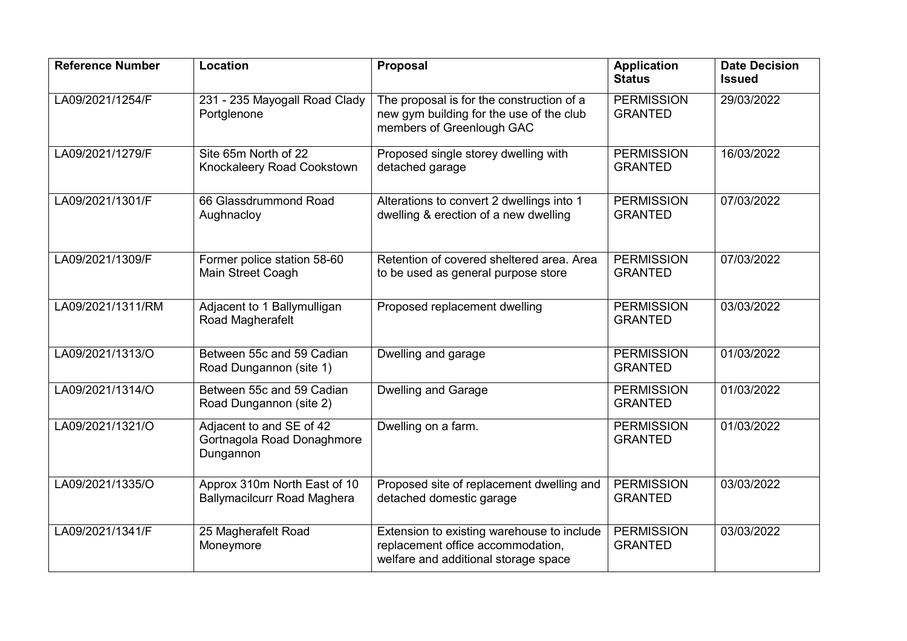| <b>Reference Number</b> | Location                                                            | <b>Proposal</b>                                                                                                         | <b>Application</b><br><b>Status</b> | <b>Date Decision</b><br><b>Issued</b> |
|-------------------------|---------------------------------------------------------------------|-------------------------------------------------------------------------------------------------------------------------|-------------------------------------|---------------------------------------|
| LA09/2021/1254/F        | 231 - 235 Mayogall Road Clady<br>Portglenone                        | The proposal is for the construction of a<br>new gym building for the use of the club<br>members of Greenlough GAC      | <b>PERMISSION</b><br><b>GRANTED</b> | 29/03/2022                            |
| LA09/2021/1279/F        | Site 65m North of 22<br>Knockaleery Road Cookstown                  | Proposed single storey dwelling with<br>detached garage                                                                 | <b>PERMISSION</b><br><b>GRANTED</b> | 16/03/2022                            |
| LA09/2021/1301/F        | 66 Glassdrummond Road<br>Aughnacloy                                 | Alterations to convert 2 dwellings into 1<br>dwelling & erection of a new dwelling                                      | <b>PERMISSION</b><br><b>GRANTED</b> | 07/03/2022                            |
| LA09/2021/1309/F        | Former police station 58-60<br>Main Street Coagh                    | Retention of covered sheltered area. Area<br>to be used as general purpose store                                        | <b>PERMISSION</b><br><b>GRANTED</b> | 07/03/2022                            |
| LA09/2021/1311/RM       | Adjacent to 1 Ballymulligan<br>Road Magherafelt                     | Proposed replacement dwelling                                                                                           | <b>PERMISSION</b><br><b>GRANTED</b> | 03/03/2022                            |
| LA09/2021/1313/O        | Between 55c and 59 Cadian<br>Road Dungannon (site 1)                | Dwelling and garage                                                                                                     | <b>PERMISSION</b><br><b>GRANTED</b> | 01/03/2022                            |
| LA09/2021/1314/O        | Between 55c and 59 Cadian<br>Road Dungannon (site 2)                | <b>Dwelling and Garage</b>                                                                                              | <b>PERMISSION</b><br><b>GRANTED</b> | 01/03/2022                            |
| LA09/2021/1321/O        | Adjacent to and SE of 42<br>Gortnagola Road Donaghmore<br>Dungannon | Dwelling on a farm.                                                                                                     | <b>PERMISSION</b><br><b>GRANTED</b> | 01/03/2022                            |
| LA09/2021/1335/O        | Approx 310m North East of 10<br><b>Ballymacilcurr Road Maghera</b>  | Proposed site of replacement dwelling and<br>detached domestic garage                                                   | <b>PERMISSION</b><br><b>GRANTED</b> | 03/03/2022                            |
| LA09/2021/1341/F        | 25 Magherafelt Road<br>Moneymore                                    | Extension to existing warehouse to include<br>replacement office accommodation,<br>welfare and additional storage space | <b>PERMISSION</b><br><b>GRANTED</b> | 03/03/2022                            |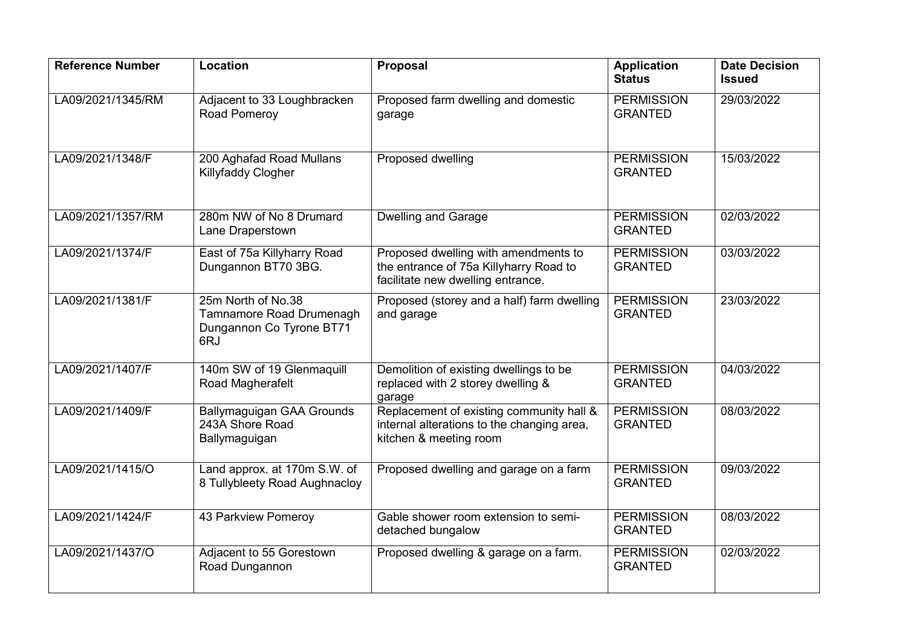| <b>Reference Number</b> | Location                                                                          | Proposal                                                                                                            | <b>Application</b><br><b>Status</b> | <b>Date Decision</b><br><b>Issued</b> |
|-------------------------|-----------------------------------------------------------------------------------|---------------------------------------------------------------------------------------------------------------------|-------------------------------------|---------------------------------------|
| LA09/2021/1345/RM       | Adjacent to 33 Loughbracken<br>Road Pomeroy                                       | Proposed farm dwelling and domestic<br>garage                                                                       | <b>PERMISSION</b><br><b>GRANTED</b> | 29/03/2022                            |
| LA09/2021/1348/F        | 200 Aghafad Road Mullans<br>Killyfaddy Clogher                                    | Proposed dwelling                                                                                                   | <b>PERMISSION</b><br><b>GRANTED</b> | 15/03/2022                            |
| LA09/2021/1357/RM       | 280m NW of No 8 Drumard<br>Lane Draperstown                                       | <b>Dwelling and Garage</b>                                                                                          | <b>PERMISSION</b><br><b>GRANTED</b> | 02/03/2022                            |
| LA09/2021/1374/F        | East of 75a Killyharry Road<br>Dungannon BT70 3BG.                                | Proposed dwelling with amendments to<br>the entrance of 75a Killyharry Road to<br>facilitate new dwelling entrance. | <b>PERMISSION</b><br><b>GRANTED</b> | 03/03/2022                            |
| LA09/2021/1381/F        | 25m North of No.38<br>Tamnamore Road Drumenagh<br>Dungannon Co Tyrone BT71<br>6RJ | Proposed (storey and a half) farm dwelling<br>and garage                                                            | <b>PERMISSION</b><br><b>GRANTED</b> | 23/03/2022                            |
| LA09/2021/1407/F        | 140m SW of 19 Glenmaquill<br>Road Magherafelt                                     | Demolition of existing dwellings to be<br>replaced with 2 storey dwelling &<br>garage                               | <b>PERMISSION</b><br><b>GRANTED</b> | 04/03/2022                            |
| LA09/2021/1409/F        | <b>Ballymaguigan GAA Grounds</b><br>243A Shore Road<br>Ballymaguigan              | Replacement of existing community hall &<br>internal alterations to the changing area,<br>kitchen & meeting room    | <b>PERMISSION</b><br><b>GRANTED</b> | 08/03/2022                            |
| LA09/2021/1415/O        | Land approx. at 170m S.W. of<br>8 Tullybleety Road Aughnacloy                     | Proposed dwelling and garage on a farm                                                                              | <b>PERMISSION</b><br><b>GRANTED</b> | 09/03/2022                            |
| LA09/2021/1424/F        | 43 Parkview Pomeroy                                                               | Gable shower room extension to semi-<br>detached bungalow                                                           | <b>PERMISSION</b><br><b>GRANTED</b> | 08/03/2022                            |
| LA09/2021/1437/O        | Adjacent to 55 Gorestown<br>Road Dungannon                                        | Proposed dwelling & garage on a farm.                                                                               | <b>PERMISSION</b><br><b>GRANTED</b> | 02/03/2022                            |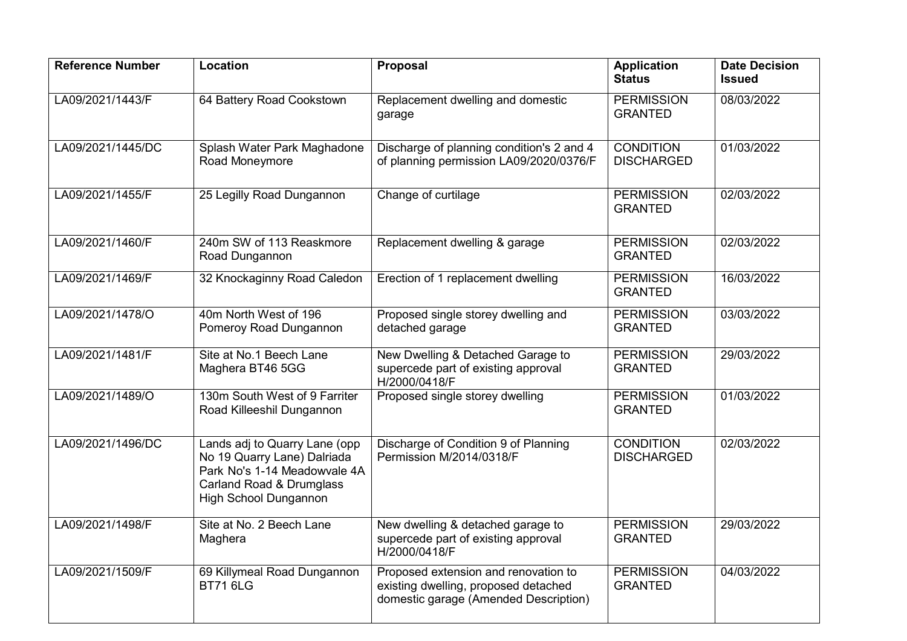| <b>Reference Number</b> | Location                                                                                                                                                 | <b>Proposal</b>                                                                                                       | <b>Application</b><br><b>Status</b>   | <b>Date Decision</b><br><b>Issued</b> |
|-------------------------|----------------------------------------------------------------------------------------------------------------------------------------------------------|-----------------------------------------------------------------------------------------------------------------------|---------------------------------------|---------------------------------------|
| LA09/2021/1443/F        | 64 Battery Road Cookstown                                                                                                                                | Replacement dwelling and domestic<br>garage                                                                           | <b>PERMISSION</b><br><b>GRANTED</b>   | 08/03/2022                            |
| LA09/2021/1445/DC       | Splash Water Park Maghadone<br>Road Moneymore                                                                                                            | Discharge of planning condition's 2 and 4<br>of planning permission LA09/2020/0376/F                                  | <b>CONDITION</b><br><b>DISCHARGED</b> | 01/03/2022                            |
| LA09/2021/1455/F        | 25 Legilly Road Dungannon                                                                                                                                | Change of curtilage                                                                                                   | <b>PERMISSION</b><br><b>GRANTED</b>   | 02/03/2022                            |
| LA09/2021/1460/F        | 240m SW of 113 Reaskmore<br>Road Dungannon                                                                                                               | Replacement dwelling & garage                                                                                         | <b>PERMISSION</b><br><b>GRANTED</b>   | 02/03/2022                            |
| LA09/2021/1469/F        | 32 Knockaginny Road Caledon                                                                                                                              | Erection of 1 replacement dwelling                                                                                    | <b>PERMISSION</b><br><b>GRANTED</b>   | 16/03/2022                            |
| LA09/2021/1478/O        | 40m North West of 196<br>Pomeroy Road Dungannon                                                                                                          | Proposed single storey dwelling and<br>detached garage                                                                | <b>PERMISSION</b><br><b>GRANTED</b>   | 03/03/2022                            |
| LA09/2021/1481/F        | Site at No.1 Beech Lane<br>Maghera BT46 5GG                                                                                                              | New Dwelling & Detached Garage to<br>supercede part of existing approval<br>H/2000/0418/F                             | <b>PERMISSION</b><br><b>GRANTED</b>   | 29/03/2022                            |
| LA09/2021/1489/O        | 130m South West of 9 Farriter<br>Road Killeeshil Dungannon                                                                                               | Proposed single storey dwelling                                                                                       | <b>PERMISSION</b><br><b>GRANTED</b>   | 01/03/2022                            |
| LA09/2021/1496/DC       | Lands adj to Quarry Lane (opp<br>No 19 Quarry Lane) Dalriada<br>Park No's 1-14 Meadowvale 4A<br>Carland Road & Drumglass<br><b>High School Dungannon</b> | Discharge of Condition 9 of Planning<br>Permission M/2014/0318/F                                                      | <b>CONDITION</b><br><b>DISCHARGED</b> | 02/03/2022                            |
| LA09/2021/1498/F        | Site at No. 2 Beech Lane<br>Maghera                                                                                                                      | New dwelling & detached garage to<br>supercede part of existing approval<br>H/2000/0418/F                             | <b>PERMISSION</b><br><b>GRANTED</b>   | 29/03/2022                            |
| LA09/2021/1509/F        | 69 Killymeal Road Dungannon<br><b>BT716LG</b>                                                                                                            | Proposed extension and renovation to<br>existing dwelling, proposed detached<br>domestic garage (Amended Description) | <b>PERMISSION</b><br><b>GRANTED</b>   | 04/03/2022                            |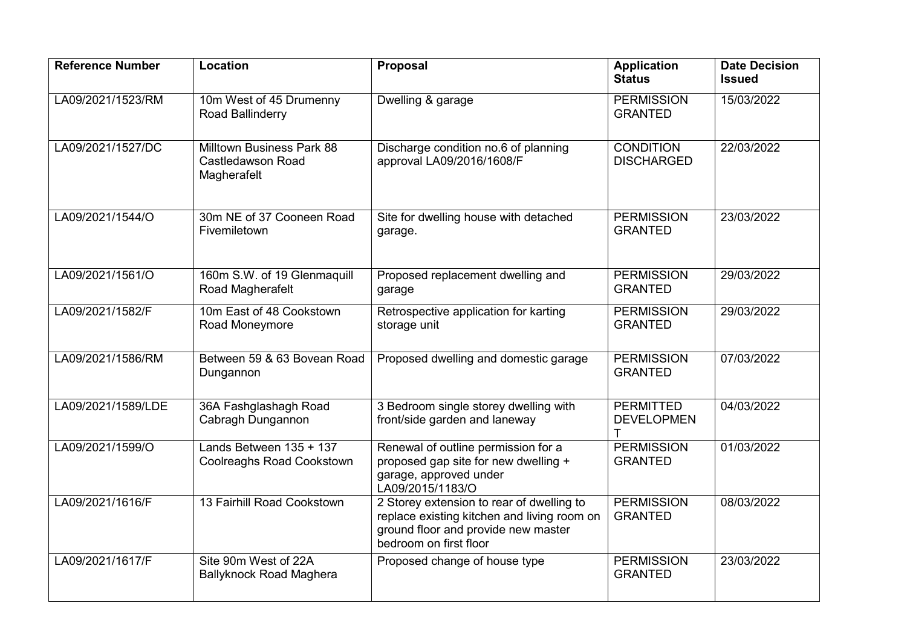| <b>Reference Number</b> | Location                                                      | Proposal                                                                                                                                                  | <b>Application</b><br><b>Status</b>   | <b>Date Decision</b><br><b>Issued</b> |
|-------------------------|---------------------------------------------------------------|-----------------------------------------------------------------------------------------------------------------------------------------------------------|---------------------------------------|---------------------------------------|
| LA09/2021/1523/RM       | 10m West of 45 Drumenny<br>Road Ballinderry                   | Dwelling & garage                                                                                                                                         | <b>PERMISSION</b><br><b>GRANTED</b>   | 15/03/2022                            |
| LA09/2021/1527/DC       | Milltown Business Park 88<br>Castledawson Road<br>Magherafelt | Discharge condition no.6 of planning<br>approval LA09/2016/1608/F                                                                                         | <b>CONDITION</b><br><b>DISCHARGED</b> | 22/03/2022                            |
| LA09/2021/1544/O        | 30m NE of 37 Cooneen Road<br>Fivemiletown                     | Site for dwelling house with detached<br>garage.                                                                                                          | <b>PERMISSION</b><br><b>GRANTED</b>   | 23/03/2022                            |
| LA09/2021/1561/O        | 160m S.W. of 19 Glenmaquill<br>Road Magherafelt               | Proposed replacement dwelling and<br>garage                                                                                                               | <b>PERMISSION</b><br><b>GRANTED</b>   | 29/03/2022                            |
| LA09/2021/1582/F        | 10m East of 48 Cookstown<br>Road Moneymore                    | Retrospective application for karting<br>storage unit                                                                                                     | <b>PERMISSION</b><br><b>GRANTED</b>   | 29/03/2022                            |
| LA09/2021/1586/RM       | Between 59 & 63 Bovean Road<br>Dungannon                      | Proposed dwelling and domestic garage                                                                                                                     | <b>PERMISSION</b><br><b>GRANTED</b>   | 07/03/2022                            |
| LA09/2021/1589/LDE      | 36A Fashglashagh Road<br>Cabragh Dungannon                    | 3 Bedroom single storey dwelling with<br>front/side garden and laneway                                                                                    | <b>PERMITTED</b><br><b>DEVELOPMEN</b> | 04/03/2022                            |
| LA09/2021/1599/O        | Lands Between 135 + 137<br><b>Coolreaghs Road Cookstown</b>   | Renewal of outline permission for a<br>proposed gap site for new dwelling +<br>garage, approved under<br>LA09/2015/1183/O                                 | <b>PERMISSION</b><br><b>GRANTED</b>   | 01/03/2022                            |
| LA09/2021/1616/F        | 13 Fairhill Road Cookstown                                    | 2 Storey extension to rear of dwelling to<br>replace existing kitchen and living room on<br>ground floor and provide new master<br>bedroom on first floor | <b>PERMISSION</b><br><b>GRANTED</b>   | 08/03/2022                            |
| LA09/2021/1617/F        | Site 90m West of 22A<br><b>Ballyknock Road Maghera</b>        | Proposed change of house type                                                                                                                             | <b>PERMISSION</b><br><b>GRANTED</b>   | 23/03/2022                            |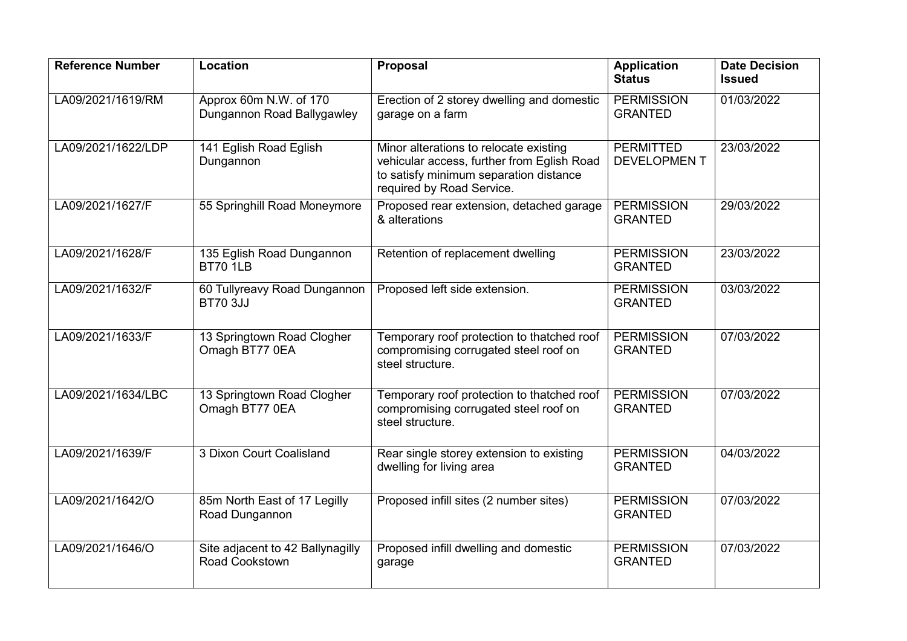| <b>Reference Number</b> | Location                                             | Proposal                                                                                                                                                    | <b>Application</b><br><b>Status</b>    | <b>Date Decision</b><br><b>Issued</b> |
|-------------------------|------------------------------------------------------|-------------------------------------------------------------------------------------------------------------------------------------------------------------|----------------------------------------|---------------------------------------|
| LA09/2021/1619/RM       | Approx 60m N.W. of 170<br>Dungannon Road Ballygawley | Erection of 2 storey dwelling and domestic<br>garage on a farm                                                                                              | <b>PERMISSION</b><br><b>GRANTED</b>    | 01/03/2022                            |
| LA09/2021/1622/LDP      | 141 Eglish Road Eglish<br>Dungannon                  | Minor alterations to relocate existing<br>vehicular access, further from Eglish Road<br>to satisfy minimum separation distance<br>required by Road Service. | <b>PERMITTED</b><br><b>DEVELOPMENT</b> | 23/03/2022                            |
| LA09/2021/1627/F        | 55 Springhill Road Moneymore                         | Proposed rear extension, detached garage<br>& alterations                                                                                                   | <b>PERMISSION</b><br><b>GRANTED</b>    | 29/03/2022                            |
| LA09/2021/1628/F        | 135 Eglish Road Dungannon<br><b>BT70 1LB</b>         | Retention of replacement dwelling                                                                                                                           | <b>PERMISSION</b><br><b>GRANTED</b>    | 23/03/2022                            |
| LA09/2021/1632/F        | 60 Tullyreavy Road Dungannon<br><b>BT70 3JJ</b>      | Proposed left side extension.                                                                                                                               | <b>PERMISSION</b><br><b>GRANTED</b>    | 03/03/2022                            |
| LA09/2021/1633/F        | 13 Springtown Road Clogher<br>Omagh BT77 0EA         | Temporary roof protection to thatched roof<br>compromising corrugated steel roof on<br>steel structure.                                                     | <b>PERMISSION</b><br><b>GRANTED</b>    | 07/03/2022                            |
| LA09/2021/1634/LBC      | 13 Springtown Road Clogher<br>Omagh BT77 0EA         | Temporary roof protection to thatched roof<br>compromising corrugated steel roof on<br>steel structure.                                                     | <b>PERMISSION</b><br><b>GRANTED</b>    | 07/03/2022                            |
| LA09/2021/1639/F        | 3 Dixon Court Coalisland                             | Rear single storey extension to existing<br>dwelling for living area                                                                                        | <b>PERMISSION</b><br><b>GRANTED</b>    | 04/03/2022                            |
| LA09/2021/1642/O        | 85m North East of 17 Legilly<br>Road Dungannon       | Proposed infill sites (2 number sites)                                                                                                                      | <b>PERMISSION</b><br><b>GRANTED</b>    | 07/03/2022                            |
| LA09/2021/1646/O        | Site adjacent to 42 Ballynagilly<br>Road Cookstown   | Proposed infill dwelling and domestic<br>garage                                                                                                             | <b>PERMISSION</b><br><b>GRANTED</b>    | 07/03/2022                            |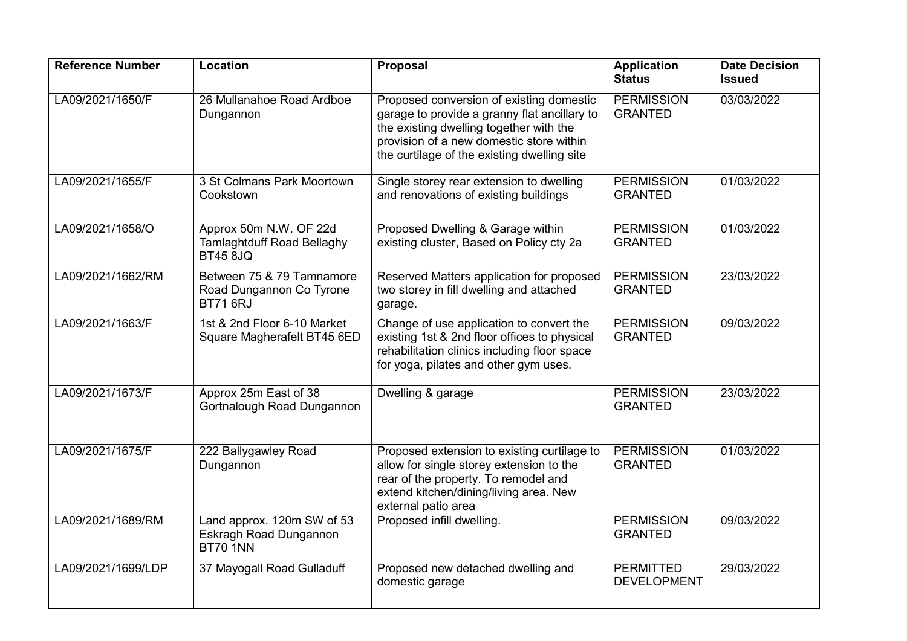| <b>Reference Number</b> | Location                                                                       | <b>Proposal</b>                                                                                                                                                                                                                | <b>Application</b><br><b>Status</b>    | <b>Date Decision</b><br><b>Issued</b> |
|-------------------------|--------------------------------------------------------------------------------|--------------------------------------------------------------------------------------------------------------------------------------------------------------------------------------------------------------------------------|----------------------------------------|---------------------------------------|
| LA09/2021/1650/F        | 26 Mullanahoe Road Ardboe<br>Dungannon                                         | Proposed conversion of existing domestic<br>garage to provide a granny flat ancillary to<br>the existing dwelling together with the<br>provision of a new domestic store within<br>the curtilage of the existing dwelling site | <b>PERMISSION</b><br><b>GRANTED</b>    | 03/03/2022                            |
| LA09/2021/1655/F        | 3 St Colmans Park Moortown<br>Cookstown                                        | Single storey rear extension to dwelling<br>and renovations of existing buildings                                                                                                                                              | <b>PERMISSION</b><br><b>GRANTED</b>    | 01/03/2022                            |
| LA09/2021/1658/O        | Approx 50m N.W. OF 22d<br><b>Tamlaghtduff Road Bellaghy</b><br><b>BT45 8JQ</b> | Proposed Dwelling & Garage within<br>existing cluster, Based on Policy cty 2a                                                                                                                                                  | <b>PERMISSION</b><br><b>GRANTED</b>    | 01/03/2022                            |
| LA09/2021/1662/RM       | Between 75 & 79 Tamnamore<br>Road Dungannon Co Tyrone<br><b>BT71 6RJ</b>       | Reserved Matters application for proposed<br>two storey in fill dwelling and attached<br>garage.                                                                                                                               | <b>PERMISSION</b><br><b>GRANTED</b>    | 23/03/2022                            |
| LA09/2021/1663/F        | 1st & 2nd Floor 6-10 Market<br>Square Magherafelt BT45 6ED                     | Change of use application to convert the<br>existing 1st & 2nd floor offices to physical<br>rehabilitation clinics including floor space<br>for yoga, pilates and other gym uses.                                              | <b>PERMISSION</b><br><b>GRANTED</b>    | 09/03/2022                            |
| LA09/2021/1673/F        | Approx 25m East of 38<br>Gortnalough Road Dungannon                            | Dwelling & garage                                                                                                                                                                                                              | <b>PERMISSION</b><br><b>GRANTED</b>    | 23/03/2022                            |
| LA09/2021/1675/F        | 222 Ballygawley Road<br>Dungannon                                              | Proposed extension to existing curtilage to<br>allow for single storey extension to the<br>rear of the property. To remodel and<br>extend kitchen/dining/living area. New<br>external patio area                               | <b>PERMISSION</b><br><b>GRANTED</b>    | 01/03/2022                            |
| LA09/2021/1689/RM       | Land approx. 120m SW of 53<br>Eskragh Road Dungannon<br>BT70 1NN               | Proposed infill dwelling.                                                                                                                                                                                                      | <b>PERMISSION</b><br><b>GRANTED</b>    | 09/03/2022                            |
| LA09/2021/1699/LDP      | 37 Mayogall Road Gulladuff                                                     | Proposed new detached dwelling and<br>domestic garage                                                                                                                                                                          | <b>PERMITTED</b><br><b>DEVELOPMENT</b> | 29/03/2022                            |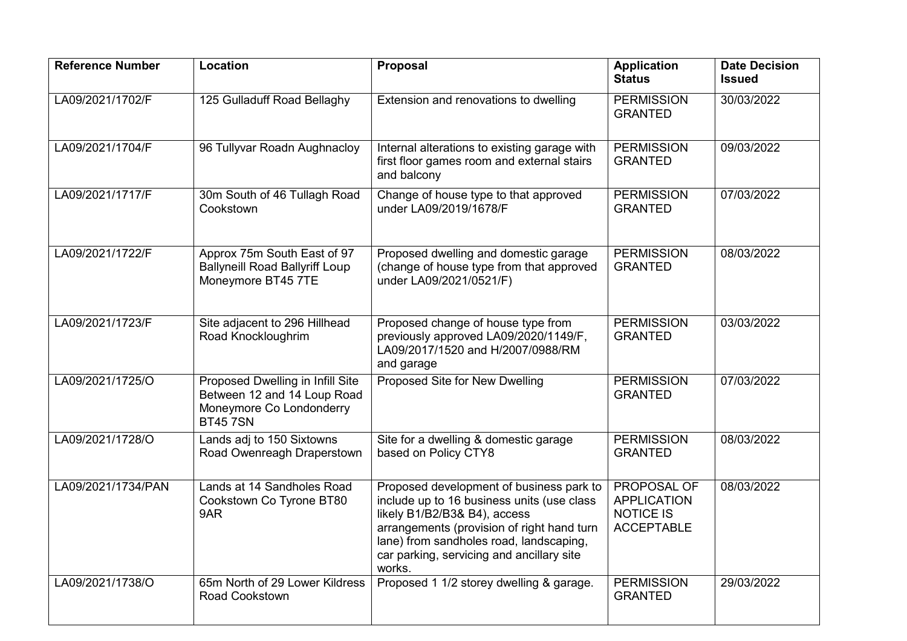| <b>Reference Number</b> | Location                                                                                                      | <b>Proposal</b>                                                                                                                                                                                                                                                        | <b>Application</b><br><b>Status</b>                                        | <b>Date Decision</b><br><b>Issued</b> |
|-------------------------|---------------------------------------------------------------------------------------------------------------|------------------------------------------------------------------------------------------------------------------------------------------------------------------------------------------------------------------------------------------------------------------------|----------------------------------------------------------------------------|---------------------------------------|
| LA09/2021/1702/F        | 125 Gulladuff Road Bellaghy                                                                                   | Extension and renovations to dwelling                                                                                                                                                                                                                                  | <b>PERMISSION</b><br><b>GRANTED</b>                                        | 30/03/2022                            |
| LA09/2021/1704/F        | 96 Tullyvar Roadn Aughnacloy                                                                                  | Internal alterations to existing garage with<br>first floor games room and external stairs<br>and balcony                                                                                                                                                              | <b>PERMISSION</b><br><b>GRANTED</b>                                        | 09/03/2022                            |
| LA09/2021/1717/F        | 30m South of 46 Tullagh Road<br>Cookstown                                                                     | Change of house type to that approved<br>under LA09/2019/1678/F                                                                                                                                                                                                        | <b>PERMISSION</b><br><b>GRANTED</b>                                        | 07/03/2022                            |
| LA09/2021/1722/F        | Approx 75m South East of 97<br><b>Ballyneill Road Ballyriff Loup</b><br>Moneymore BT45 7TE                    | Proposed dwelling and domestic garage<br>(change of house type from that approved<br>under LA09/2021/0521/F)                                                                                                                                                           | <b>PERMISSION</b><br><b>GRANTED</b>                                        | 08/03/2022                            |
| LA09/2021/1723/F        | Site adjacent to 296 Hillhead<br>Road Knockloughrim                                                           | Proposed change of house type from<br>previously approved LA09/2020/1149/F,<br>LA09/2017/1520 and H/2007/0988/RM<br>and garage                                                                                                                                         | <b>PERMISSION</b><br><b>GRANTED</b>                                        | 03/03/2022                            |
| LA09/2021/1725/O        | Proposed Dwelling in Infill Site<br>Between 12 and 14 Loup Road<br>Moneymore Co Londonderry<br><b>BT457SN</b> | Proposed Site for New Dwelling                                                                                                                                                                                                                                         | <b>PERMISSION</b><br><b>GRANTED</b>                                        | 07/03/2022                            |
| LA09/2021/1728/O        | Lands adj to 150 Sixtowns<br>Road Owenreagh Draperstown                                                       | Site for a dwelling & domestic garage<br>based on Policy CTY8                                                                                                                                                                                                          | <b>PERMISSION</b><br><b>GRANTED</b>                                        | 08/03/2022                            |
| LA09/2021/1734/PAN      | Lands at 14 Sandholes Road<br>Cookstown Co Tyrone BT80<br>9AR                                                 | Proposed development of business park to<br>include up to 16 business units (use class<br>likely B1/B2/B3& B4), access<br>arrangements (provision of right hand turn<br>lane) from sandholes road, landscaping,<br>car parking, servicing and ancillary site<br>works. | PROPOSAL OF<br><b>APPLICATION</b><br><b>NOTICE IS</b><br><b>ACCEPTABLE</b> | 08/03/2022                            |
| LA09/2021/1738/O        | 65m North of 29 Lower Kildress<br>Road Cookstown                                                              | Proposed 1 1/2 storey dwelling & garage.                                                                                                                                                                                                                               | <b>PERMISSION</b><br><b>GRANTED</b>                                        | 29/03/2022                            |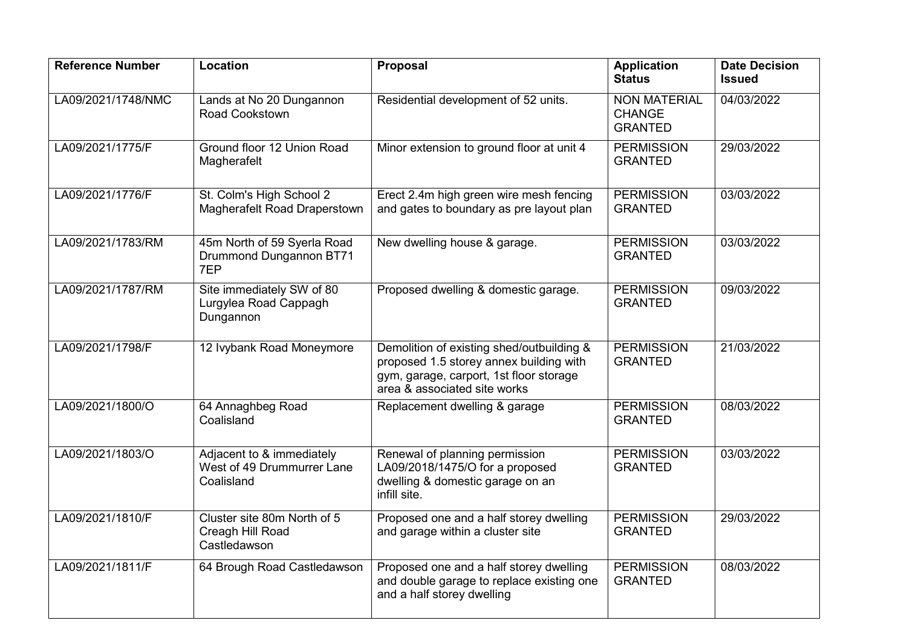| <b>Reference Number</b> | Location                                                              | <b>Proposal</b>                                                                                                                                                 | <b>Application</b><br><b>Status</b>                    | <b>Date Decision</b><br><b>Issued</b> |
|-------------------------|-----------------------------------------------------------------------|-----------------------------------------------------------------------------------------------------------------------------------------------------------------|--------------------------------------------------------|---------------------------------------|
| LA09/2021/1748/NMC      | Lands at No 20 Dungannon<br>Road Cookstown                            | Residential development of 52 units.                                                                                                                            | <b>NON MATERIAL</b><br><b>CHANGE</b><br><b>GRANTED</b> | 04/03/2022                            |
| LA09/2021/1775/F        | Ground floor 12 Union Road<br>Magherafelt                             | Minor extension to ground floor at unit 4                                                                                                                       | <b>PERMISSION</b><br><b>GRANTED</b>                    | 29/03/2022                            |
| LA09/2021/1776/F        | St. Colm's High School 2<br>Magherafelt Road Draperstown              | Erect 2.4m high green wire mesh fencing<br>and gates to boundary as pre layout plan                                                                             | <b>PERMISSION</b><br><b>GRANTED</b>                    | 03/03/2022                            |
| LA09/2021/1783/RM       | 45m North of 59 Syerla Road<br>Drummond Dungannon BT71<br>7EP         | New dwelling house & garage.                                                                                                                                    | <b>PERMISSION</b><br><b>GRANTED</b>                    | 03/03/2022                            |
| LA09/2021/1787/RM       | Site immediately SW of 80<br>Lurgylea Road Cappagh<br>Dungannon       | Proposed dwelling & domestic garage.                                                                                                                            | <b>PERMISSION</b><br><b>GRANTED</b>                    | 09/03/2022                            |
| LA09/2021/1798/F        | 12 Ivybank Road Moneymore                                             | Demolition of existing shed/outbuilding &<br>proposed 1.5 storey annex building with<br>gym, garage, carport, 1st floor storage<br>area & associated site works | <b>PERMISSION</b><br><b>GRANTED</b>                    | 21/03/2022                            |
| LA09/2021/1800/O        | 64 Annaghbeg Road<br>Coalisland                                       | Replacement dwelling & garage                                                                                                                                   | <b>PERMISSION</b><br><b>GRANTED</b>                    | 08/03/2022                            |
| LA09/2021/1803/O        | Adjacent to & immediately<br>West of 49 Drummurrer Lane<br>Coalisland | Renewal of planning permission<br>LA09/2018/1475/O for a proposed<br>dwelling & domestic garage on an<br>infill site.                                           | <b>PERMISSION</b><br><b>GRANTED</b>                    | 03/03/2022                            |
| LA09/2021/1810/F        | Cluster site 80m North of 5<br>Creagh Hill Road<br>Castledawson       | Proposed one and a half storey dwelling<br>and garage within a cluster site                                                                                     | <b>PERMISSION</b><br><b>GRANTED</b>                    | 29/03/2022                            |
| LA09/2021/1811/F        | 64 Brough Road Castledawson                                           | Proposed one and a half storey dwelling<br>and double garage to replace existing one<br>and a half storey dwelling                                              | <b>PERMISSION</b><br><b>GRANTED</b>                    | 08/03/2022                            |